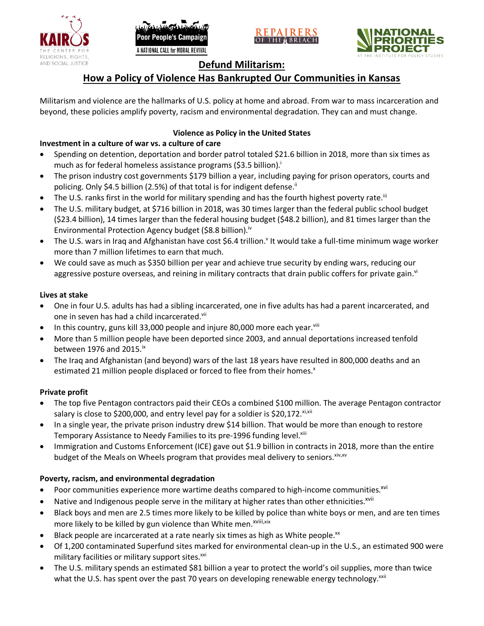





# **Defund Militarism:**

# **How a Policy of Violence Has Bankrupted Our Communities in Kansas**

Militarism and violence are the hallmarks of U.S. policy at home and abroad. From war to mass incarceration and beyond, these policies amplify poverty, racism and environmental degradation. They can and must change.

## **Violence as Policy in the United States**

# **Investment in a culture of war vs. a culture of care**

- Spending on detention, deportation and border patrol totaled \$21.6 billion in 2018, more than six times as much as for federal homeless assistance programs (\$3.5 billion).<sup>i</sup>
- The prison industry cost governments \$179 billion a year, including paying for prison operators, courts and policing. Only \$4.5 billion (2.5%) of that total is for indigent defense.<sup>ii</sup>
- The U.S. ranks first in the world for military spending and has the fourth highest poverty rate.<sup>iii</sup>
- The U.S. military budget, at \$716 billion in 2018, was 30 times larger than the federal public school budget (\$23.4 billion), 14 times larger than the federal housing budget (\$48.2 billion), and 81 times larger than the Environmental Protection Agency budget (\$8.8 billion).<sup>iv</sup>
- The U.S. wars in Iraq and Afghanistan have cost \$6.4 trillion.<sup>v</sup> It would take a full-time minimum wage worker more than 7 million lifetimes to earn that much.
- We could save as much as \$350 billion per year and achieve true security by ending wars, reducing our aggressive posture overseas, and reining in military contracts that drain public coffers for private gain.<sup>vi</sup>

### **Lives at stake**

- One in four U.S. adults has had a sibling incarcerated, one in five adults has had a parent incarcerated, and one in seven has had a child incarcerated.vii
- In this country, guns kill 33,000 people and injure 80,000 more each year. $v_{\text{lin}}$
- More than 5 million people have been deported since 2003, and annual deportations increased tenfold between 1976 and 2015. $\mathrm{i}$ <sup>x</sup>
- The Iraq and Afghanistan (and beyond) wars of the last 18 years have resulted in 800,000 deaths and an estimated 21 million people displaced or forced to flee from their homes.<sup>x</sup>

#### **Private profit**

- The top five Pentagon contractors paid their CEOs a combined \$100 million. The average Pentagon contractor salary is close to \$200,000, and entry level pay for a soldier is \$20,172. xi,xii
- In a single year, the private prison industry drew \$14 billion. That would be more than enough to restore Temporary Assistance to Needy Families to its pre-1996 funding level.<sup>xiii</sup>
- Immigration and Customs Enforcement (ICE) gave out \$1.9 billion in contracts in 2018, more than the entire budget of the Meals on Wheels program that provides meal delivery to seniors. Xiv, XV

## **Poverty, racism, and environmental degradation**

- Poor communities experience more wartime deaths compared to high-income communities.<sup>xvi</sup>
- Native and Indigenous people serve in the military at higher rates than other ethnicities.<sup>xvii</sup>
- Black boys and men are 2.5 times more likely to be killed by police than white boys or men, and are ten times more likely to be killed by gun violence than White men.<sup>xviii,xix</sup>
- Black people are incarcerated at a rate nearly six times as high as White people.<sup>xx</sup>
- Of 1,200 contaminated Superfund sites marked for environmental clean-up in the U.S., an estimated 900 were military facilities or military support sites.<sup>xxi</sup>
- The U.S. military spends an estimated \$81 billion a year to protect the world's oil supplies, more than twice what the U.S. has spent over the past 70 years on developing renewable energy technology.<sup>xxii</sup>